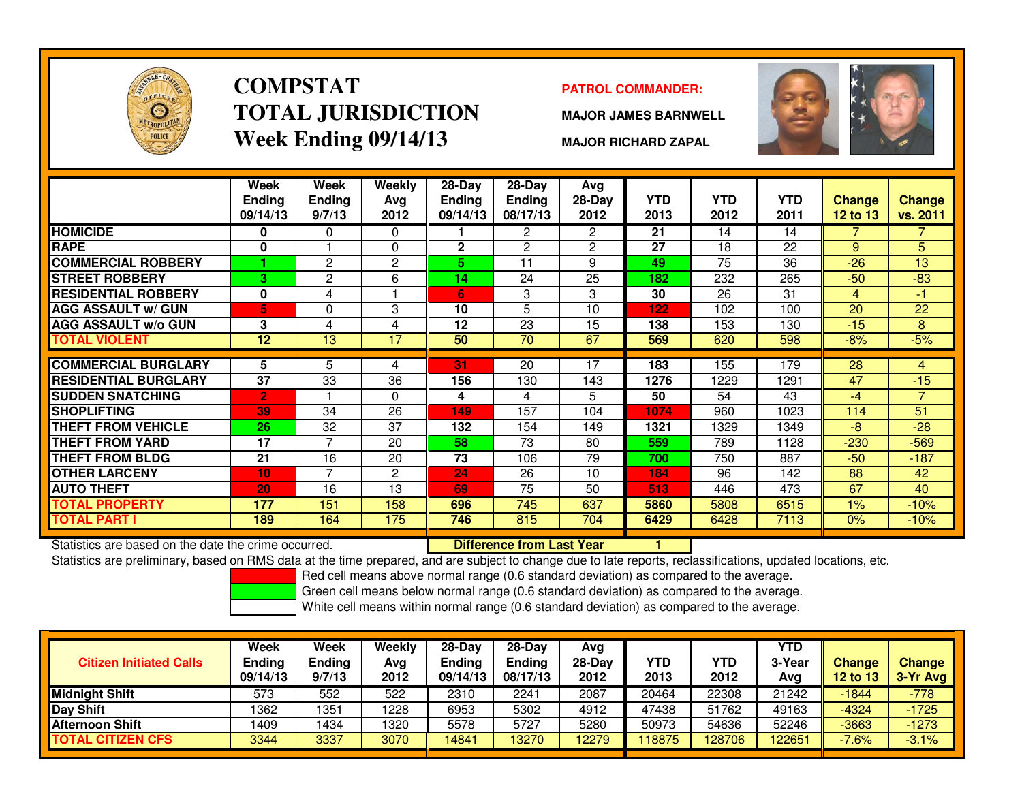

### **COMPSTATTOTAL JURISDICTIONWeek Ending 09/14/13**

### **PATROL COMMANDER:**

**MAJOR JAMES BARNWELL**



**MAJOR RICHARD ZAPAL**

|                             | Week<br><b>Ending</b><br>09/14/13 | Week<br><b>Ending</b><br>9/7/13 | <b>Weekly</b><br>Avg<br>2012 | $28-Day$<br><b>Ending</b><br>09/14/13 | 28-Day<br><b>Ending</b><br>08/17/13 | Avg<br>28-Day<br>2012 | <b>YTD</b><br>2013 | <b>YTD</b><br>2012 | <b>YTD</b><br>2011 | Change<br>12 to 13 | <b>Change</b><br>vs. 2011 |
|-----------------------------|-----------------------------------|---------------------------------|------------------------------|---------------------------------------|-------------------------------------|-----------------------|--------------------|--------------------|--------------------|--------------------|---------------------------|
| <b>HOMICIDE</b>             | 0                                 | 0                               | $\Omega$                     |                                       | $\overline{2}$                      | $\mathbf{2}^{\circ}$  | 21                 | 14                 | 14                 |                    | $\mathbf{7}$              |
| <b>RAPE</b>                 | 0                                 |                                 | $\Omega$                     | $\mathbf{2}$                          | 2                                   | $\mathbf{2}$          | 27                 | 18                 | 22                 | 9                  | 5 <sup>1</sup>            |
| <b>COMMERCIAL ROBBERY</b>   |                                   | 2                               | $\overline{c}$               | 5.                                    | 11                                  | 9                     | 49                 | 75                 | 36                 | $-26$              | 13                        |
| <b>STREET ROBBERY</b>       | 3                                 | $\overline{2}$                  | 6                            | 14                                    | 24                                  | 25                    | 182                | 232                | 265                | $-50$              | $-83$                     |
| <b>RESIDENTIAL ROBBERY</b>  | 0                                 | 4                               |                              | 6                                     | 3                                   | 3                     | 30                 | 26                 | 31                 | 4                  | -1                        |
| <b>AGG ASSAULT w/ GUN</b>   | 5                                 | 0                               | 3                            | 10                                    | 5                                   | 10                    | 122                | 102                | 100                | 20                 | 22                        |
| <b>AGG ASSAULT w/o GUN</b>  | 3                                 | 4                               | 4                            | 12                                    | 23                                  | 15                    | 138                | 153                | 130                | $-15$              | 8                         |
| <b>TOTAL VIOLENT</b>        | 12                                | 13                              | 17                           | 50                                    | 70                                  | 67                    | 569                | 620                | 598                | $-8%$              | $-5%$                     |
|                             |                                   |                                 |                              |                                       |                                     |                       |                    |                    |                    |                    |                           |
| <b>COMMERCIAL BURGLARY</b>  | 5                                 | 5                               | 4                            | 31                                    | 20                                  | 17                    | 183                | 155                | 179                | 28                 | 4                         |
| <b>RESIDENTIAL BURGLARY</b> | 37                                | 33                              | 36                           | 156                                   | 130                                 | 143                   | 1276               | 1229               | 1291               | 47                 | $-15$                     |
| <b>SUDDEN SNATCHING</b>     | $\overline{2}$                    |                                 | $\Omega$                     | 4                                     | 4                                   | 5                     | 50                 | 54                 | 43                 | $-4$               | $\overline{7}$            |
| <b>SHOPLIFTING</b>          | 39                                | 34                              | 26                           | 149                                   | 157                                 | 104                   | 1074               | 960                | 1023               | 114                | 51                        |
| <b>THEFT FROM VEHICLE</b>   | 26                                | 32                              | 37                           | 132                                   | 154                                 | 149                   | 1321               | 1329               | 1349               | -8                 | $-28$                     |
| THEFT FROM YARD             | 17                                | 7                               | 20                           | 58                                    | 73                                  | 80                    | 559                | 789                | 1128               | $-230$             | -569                      |
| <b>THEFT FROM BLDG</b>      | 21                                | 16                              | 20                           | 73                                    | 106                                 | 79                    | 700                | 750                | 887                | $-50$              | $-187$                    |
| <b>OTHER LARCENY</b>        | 10 <sub>1</sub>                   | 7                               | 2                            | 24                                    | 26                                  | 10                    | 184                | 96                 | 142                | 88                 | 42                        |
| <b>AUTO THEFT</b>           | 20                                | 16                              | 13                           | 69                                    | 75                                  | 50                    | 513                | 446                | 473                | 67                 | 40                        |
| <b>TOTAL PROPERTY</b>       | 177                               | 151                             | 158                          | 696                                   | 745                                 | 637                   | 5860               | 5808               | 6515               | $1\%$              | $-10%$                    |
| TOTAL PART I                | 189                               | 164                             | 175                          | 746                                   | 815                                 | 704                   | 6429               | 6428               | 7113               | $0\%$              | $-10%$                    |

Statistics are based on the date the crime occurred. **Difference from Last Year** 

Statistics are based on the date the crime occurred. **[1] Letter Late Trom Last Year [1] Letter 1**] Statistics are preliminary, based on RMS data at the time prepared, and are subject to change due to late reports, reclass

Red cell means above normal range (0.6 standard deviation) as compared to the average.

Green cell means below normal range (0.6 standard deviation) as compared to the average.

| <b>Citizen Initiated Calls</b> | Week<br><b>Ending</b><br>09/14/13 | <b>Week</b><br><b>Ending</b><br>9/7/13 | Weekly<br>Avg<br>2012 | 28-Dav<br>Endina<br>09/14/13 | $28-Day$<br><b>Ending</b><br>08/17/13 | Avg<br>$28-Day$<br>2012 | YTD<br>2013 | YTD<br>2012 | YTD<br>3-Year<br>Avg | <b>Change</b><br><b>12 to 13</b> | <b>Change</b><br>3-Yr Avg |
|--------------------------------|-----------------------------------|----------------------------------------|-----------------------|------------------------------|---------------------------------------|-------------------------|-------------|-------------|----------------------|----------------------------------|---------------------------|
| <b>Midnight Shift</b>          | 573                               | 552                                    | 522                   | 2310                         | 2241                                  | 2087                    | 20464       | 22308       | 21242                | $-1844$                          | $-778$                    |
| Day Shift                      | 1362                              | 1351                                   | 1228                  | 6953                         | 5302                                  | 4912                    | 47438       | 51762       | 49163                | $-4324$                          | $-1725$                   |
| <b>Afternoon Shift</b>         | 1409                              | 1434                                   | 1320                  | 5578                         | 5727                                  | 5280                    | 50973       | 54636       | 52246                | $-3663$                          | $-1273$                   |
| <b>TOTAL CITIZEN CFS</b>       | 3344                              | 3337                                   | 3070                  | 4841                         | 13270                                 | 2279                    | 18875       | 128706      | 122651               | $-7.6%$                          | $-3.1%$                   |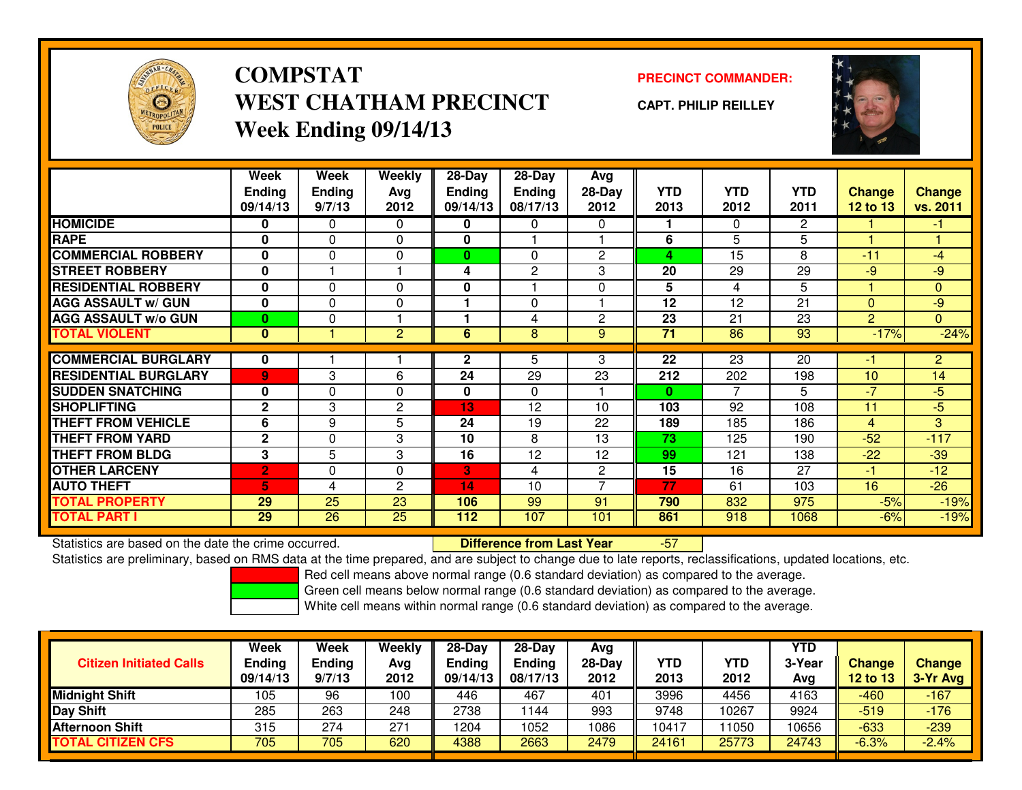

### **COMPSTATWEST CHATHAM PRECINCTWeek Ending 09/14/13**

### **PRECINCT COMMANDER:**

**CAPT. PHILIP REILLEY**



|                             | Week<br><b>Endina</b><br>09/14/13 | Week<br><b>Ending</b><br>9/7/13 | Weekly<br>Avg<br>2012 | 28-Day<br><b>Endina</b><br>09/14/13 | 28-Day<br><b>Endina</b><br>08/17/13 | Avg<br>28-Day<br>2012 | <b>YTD</b><br>2013 | <b>YTD</b><br>2012 | <b>YTD</b><br>2011 | <b>Change</b><br><b>12 to 13</b> | <b>Change</b><br>vs. 2011 |
|-----------------------------|-----------------------------------|---------------------------------|-----------------------|-------------------------------------|-------------------------------------|-----------------------|--------------------|--------------------|--------------------|----------------------------------|---------------------------|
| <b>HOMICIDE</b>             | 0                                 | 0                               | 0                     | 0                                   | 0                                   | $\Omega$              |                    | $\Omega$           | 2                  |                                  | $-1$                      |
| <b>RAPE</b>                 | $\mathbf{0}$                      | 0                               | 0                     | $\mathbf{0}$                        |                                     |                       | 6                  | 5                  | 5                  |                                  |                           |
| <b>COMMERCIAL ROBBERY</b>   | $\mathbf{0}$                      | 0                               | 0                     | 0                                   | 0                                   | $\overline{2}$        | 4                  | 15                 | 8                  | $-11$                            | $-4$                      |
| <b>STREET ROBBERY</b>       | 0                                 |                                 |                       | 4                                   | $\mathbf{2}$                        | 3                     | 20                 | 29                 | 29                 | $-9$                             | $-9$                      |
| <b>RESIDENTIAL ROBBERY</b>  | $\bf{0}$                          | $\Omega$                        | 0                     | $\bf{0}$                            |                                     | $\Omega$              | 5                  | 4                  | 5                  | ٠                                | $\Omega$                  |
| <b>AGG ASSAULT w/ GUN</b>   | $\bf{0}$                          | 0                               | 0                     |                                     | 0                                   |                       | 12                 | 12                 | 21                 | $\Omega$                         | -9                        |
| <b>AGG ASSAULT w/o GUN</b>  | $\bf{0}$                          | 0                               |                       |                                     | 4                                   | 2                     | 23                 | 21                 | 23                 | $\overline{2}$                   | $\Omega$                  |
| <b>TOTAL VIOLENT</b>        | $\mathbf{0}$                      |                                 | 2                     | 6                                   | 8                                   | 9                     | 71                 | 86                 | 93                 | $-17%$                           | $-24%$                    |
|                             |                                   |                                 |                       |                                     |                                     |                       |                    |                    |                    |                                  |                           |
| <b>COMMERCIAL BURGLARY</b>  | 0                                 |                                 |                       | $\mathbf{2}$                        | 5                                   | 3                     | $\overline{22}$    | 23                 | 20                 | -1                               | $\overline{2}$            |
| <b>RESIDENTIAL BURGLARY</b> | $\overline{9}$                    | 3                               | 6                     | 24                                  | 29                                  | 23                    | 212                | 202                | 198                | 10                               | 14                        |
| <b>SUDDEN SNATCHING</b>     | 0                                 | 0                               | 0                     | 0                                   | $\mathbf 0$                         |                       | $\bf{0}$           | 7                  | 5                  | $-7$                             | $-5$                      |
| <b>SHOPLIFTING</b>          | $\mathbf{2}$                      | 3                               | $\mathbf{2}$          | 13                                  | 12                                  | 10                    | 103                | 92                 | 108                | 11                               | $-5$                      |
| <b>THEFT FROM VEHICLE</b>   | 6                                 | 9                               | 5                     | 24                                  | 19                                  | 22                    | 189                | 185                | 186                | 4                                | 3                         |
| <b>THEFT FROM YARD</b>      | $\mathbf{2}$                      | 0                               | 3                     | 10                                  | 8                                   | 13                    | 73                 | 125                | 190                | $-52$                            | $-117$                    |
| <b>THEFT FROM BLDG</b>      | 3                                 | 5                               | 3                     | 16                                  | 12                                  | 12                    | 99                 | 121                | 138                | $-22$                            | $-39$                     |
| <b>OTHER LARCENY</b>        | $\overline{2}$                    | 0                               | 0                     | 3                                   | 4                                   | $\overline{2}$        | 15                 | 16                 | 27                 | -1                               | $-12$                     |
| <b>AUTO THEFT</b>           | 5                                 | 4                               | 2                     | 14                                  | 10                                  | ⇁                     | 77                 | 61                 | 103                | 16                               | $-26$                     |
| <b>TOTAL PROPERTY</b>       | 29                                | 25                              | 23                    | 106                                 | 99                                  | 91                    | 790                | 832                | 975                | $-5%$                            | $-19%$                    |
| <b>TOTAL PART I</b>         | 29                                | 26                              | 25                    | 112                                 | 107                                 | 101                   | 861                | 918                | 1068               | $-6%$                            | $-19%$                    |

Statistics are based on the date the crime occurred. **Difference from Last Year** 

Statistics are based on the date the crime occurred.<br>Statistics are preliminary, based on RMS data at the time prepared, and are subject to change due to late reports, reclassifications, updated locations, etc.

Red cell means above normal range (0.6 standard deviation) as compared to the average.

Green cell means below normal range (0.6 standard deviation) as compared to the average.

| <b>Citizen Initiated Calls</b> | Week<br><b>Ending</b><br>09/14/13 | Week<br><b>Ending</b><br>9/7/13 | Weekly<br>Avg<br>2012 | $28-Day$<br>Ending<br>09/14/13 | $28-Day$<br><b>Ending</b><br>08/17/13 | Avg<br>28-Day<br>2012 | YTD<br>2013 | YTD<br>2012 | <b>YTD</b><br>3-Year<br>Avg | <b>Change</b><br>12 to 13 | <b>Change</b><br>3-Yr Avg |
|--------------------------------|-----------------------------------|---------------------------------|-----------------------|--------------------------------|---------------------------------------|-----------------------|-------------|-------------|-----------------------------|---------------------------|---------------------------|
| <b>Midnight Shift</b>          | 105                               | 96                              | 100                   | 446                            | 467                                   | 401                   | 3996        | 4456        | 4163                        | -460                      | $-167$                    |
| <b>Day Shift</b>               | 285                               | 263                             | 248                   | 2738                           | 144                                   | 993                   | 9748        | 10267       | 9924                        | $-519$                    | $-176$                    |
| <b>Afternoon Shift</b>         | 315                               | 274                             | 271                   | 1204                           | 1052                                  | 1086                  | 10417       | 1050        | 10656                       | $-633$                    | $-239$                    |
| <b>TOTAL CITIZEN CFS</b>       | 705                               | 705                             | 620                   | 4388                           | 2663                                  | 2479                  | 24161       | 25773       | 24743                       | $-6.3%$                   | $-2.4%$                   |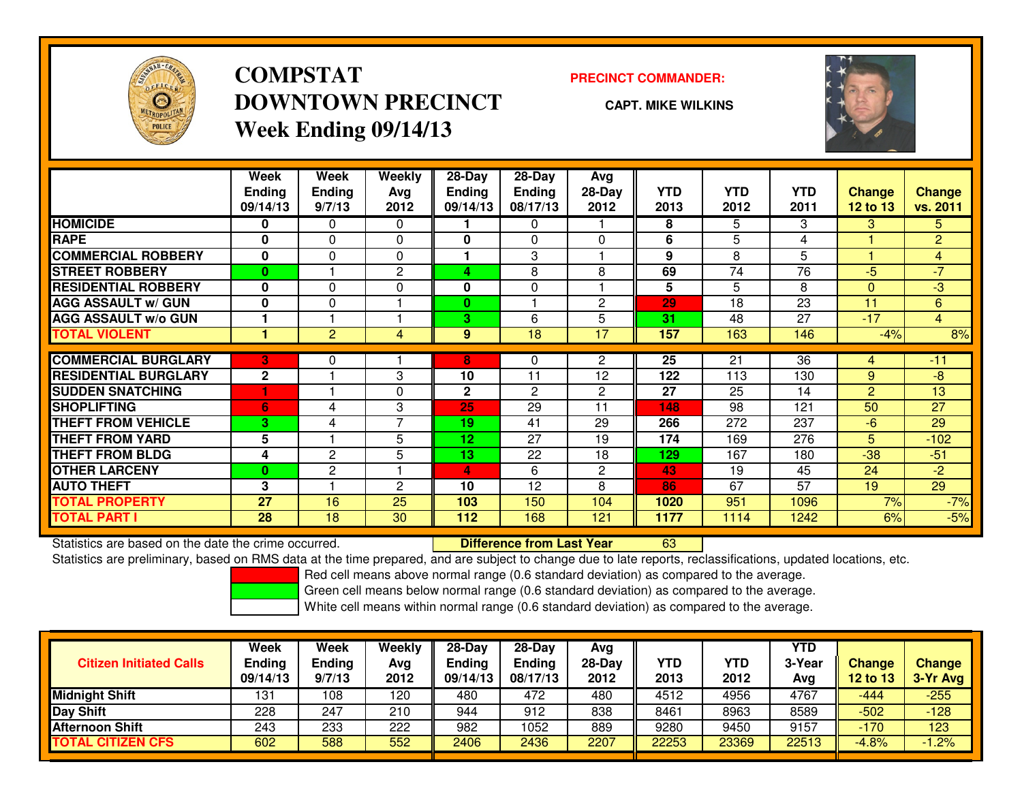

## **COMPSTATDOWNTOWN PRECINCTWeek Ending 09/14/13**

#### **PRECINCT COMMANDER:**

**CAPT. MIKE WILKINS**



|                             | Week<br><b>Endina</b><br>09/14/13 | Week<br><b>Ending</b><br>9/7/13 | Weekly<br>Ava<br>2012 | $28 - Day$<br>Endina<br>09/14/13 | $28-Day$<br><b>Ending</b><br>08/17/13 | Avg<br>$28-Day$<br>2012 | <b>YTD</b><br>2013 | <b>YTD</b><br>2012 | <b>YTD</b><br>2011 | <b>Change</b><br>12 to 13 | <b>Change</b><br>vs. 2011 |
|-----------------------------|-----------------------------------|---------------------------------|-----------------------|----------------------------------|---------------------------------------|-------------------------|--------------------|--------------------|--------------------|---------------------------|---------------------------|
| <b>HOMICIDE</b>             | 0                                 | 0                               | 0                     |                                  | 0                                     |                         | 8                  | 5                  | 3                  | 3                         | 5.                        |
| <b>RAPE</b>                 | $\bf{0}$                          | $\Omega$                        | 0                     | $\bf{0}$                         | $\Omega$                              | $\Omega$                | 6                  | 5                  | 4                  |                           | $\overline{2}$            |
| <b>COMMERCIAL ROBBERY</b>   | $\mathbf 0$                       | 0                               | 0                     |                                  | 3                                     |                         | 9                  | 8                  | 5                  |                           | 4                         |
| <b>STREET ROBBERY</b>       | $\bf{0}$                          |                                 | 2                     | 4                                | 8                                     | 8                       | 69                 | 74                 | 76                 | $-5$                      | $-7$                      |
| <b>RESIDENTIAL ROBBERY</b>  | $\mathbf 0$                       | $\Omega$                        | 0                     | $\mathbf 0$                      | $\Omega$                              |                         | 5                  | 5                  | 8                  | $\Omega$                  | $-3$                      |
| <b>AGG ASSAULT w/ GUN</b>   | $\mathbf 0$                       | 0                               |                       | $\bf{0}$                         |                                       | 2                       | 29                 | 18                 | 23                 | 11                        | 6                         |
| <b>AGG ASSAULT w/o GUN</b>  |                                   |                                 |                       | 3                                | 6                                     | 5                       | 31                 | 48                 | 27                 | $-17$                     | $\overline{4}$            |
| <b>TOTAL VIOLENT</b>        |                                   | 2                               | 4                     | 9                                | 18                                    | 17                      | 157                | 163                | 146                | $-4\%$                    | 8%                        |
|                             |                                   |                                 |                       |                                  |                                       |                         |                    |                    |                    |                           |                           |
| <b>COMMERCIAL BURGLARY</b>  | В'                                | 0                               |                       | 8                                | $\Omega$                              | $\mathbf{2}$            | 25                 | 21                 | 36                 | 4                         | $-11$                     |
| <b>RESIDENTIAL BURGLARY</b> | $\mathbf{2}$                      |                                 | 3                     | 10                               | 11                                    | 12                      | 122                | 113                | 130                | 9                         | $-8$                      |
| <b>SUDDEN SNATCHING</b>     |                                   |                                 | 0                     | $\mathbf{2}$                     | $\overline{c}$                        | $\mathbf{2}$            | 27                 | 25                 | 14                 | 2                         | 13                        |
| <b>SHOPLIFTING</b>          | 6                                 | 4                               | 3                     | 25                               | 29                                    | 11                      | 148                | 98                 | 121                | 50                        | 27                        |
| <b>THEFT FROM VEHICLE</b>   | 3                                 | 4                               | 7                     | 19                               | 41                                    | 29                      | 266                | 272                | 237                | $-6$                      | 29                        |
| <b>THEFT FROM YARD</b>      | 5                                 |                                 | 5                     | 12 <sub>2</sub>                  | 27                                    | 19                      | 174                | 169                | 276                | 5                         | $-102$                    |
| <b>THEFT FROM BLDG</b>      | 4                                 | 2                               | 5                     | 13                               | 22                                    | 18                      | 129                | 167                | 180                | $-38$                     | $-51$                     |
| <b>OTHER LARCENY</b>        | 0                                 | 2                               | ۴                     | 4                                | 6                                     | $\overline{2}$          | 43                 | 19                 | 45                 | 24                        | $-2$                      |
| <b>AUTO THEFT</b>           | 3                                 |                                 | 2                     | 10                               | 12                                    | 8                       | 86                 | 67                 | 57                 | 19                        | 29                        |
| TOTAL PROPERTY              | 27                                | 16                              | 25                    | 103                              | 150                                   | 104                     | 1020               | 951                | 1096               | 7%                        | $-7%$                     |
| <b>TOTAL PART I</b>         | 28                                | 18                              | 30                    | 112                              | 168                                   | 121                     | 1177               | 1114               | 1242               | 6%                        | $-5%$                     |

Statistics are based on the date the crime occurred. **Difference from Last Year** 

Statistics are based on the date the crime occurred. **Extence to Lubert Conduct Conduct Article Conduct Conduc**<br>Statistics are preliminary, based on RMS data at the time prepared, and are subject to change due to late repo

Red cell means above normal range (0.6 standard deviation) as compared to the average.

Green cell means below normal range (0.6 standard deviation) as compared to the average.

| <b>Citizen Initiated Calls</b> | Week<br><b>Ending</b><br>09/14/13 | Week<br>Ending<br>9/7/13 | Weekly<br>Avg<br>2012 | $28-Day$<br><b>Ending</b><br>09/14/13 | $28 - Day$<br><b>Ending</b><br>08/17/13 | Avg<br>28-Day<br>2012 | YTD<br>2013 | YTD<br>2012 | <b>YTD</b><br>3-Year<br>Avg | <b>Change</b><br><b>12 to 13</b> | <b>Change</b><br>3-Yr Avg |
|--------------------------------|-----------------------------------|--------------------------|-----------------------|---------------------------------------|-----------------------------------------|-----------------------|-------------|-------------|-----------------------------|----------------------------------|---------------------------|
| <b>Midnight Shift</b>          | 131                               | 108                      | 120                   | 480                                   | 472                                     | 480                   | 4512        | 4956        | 4767                        | -444                             | -255                      |
| <b>Day Shift</b>               | 228                               | 247                      | 210                   | 944                                   | 912                                     | 838                   | 8461        | 8963        | 8589                        | $-502$                           | $-128$                    |
| Afternoon Shift                | 243                               | 233                      | 222                   | 982                                   | 1052                                    | 889                   | 9280        | 9450        | 9157                        | $-170$                           | 123                       |
| <b>TOTAL CITIZEN CFS</b>       | 602                               | 588                      | 552                   | 2406                                  | 2436                                    | 2207                  | 22253       | 23369       | 22513                       | $-4.8%$                          | $-1.2%$                   |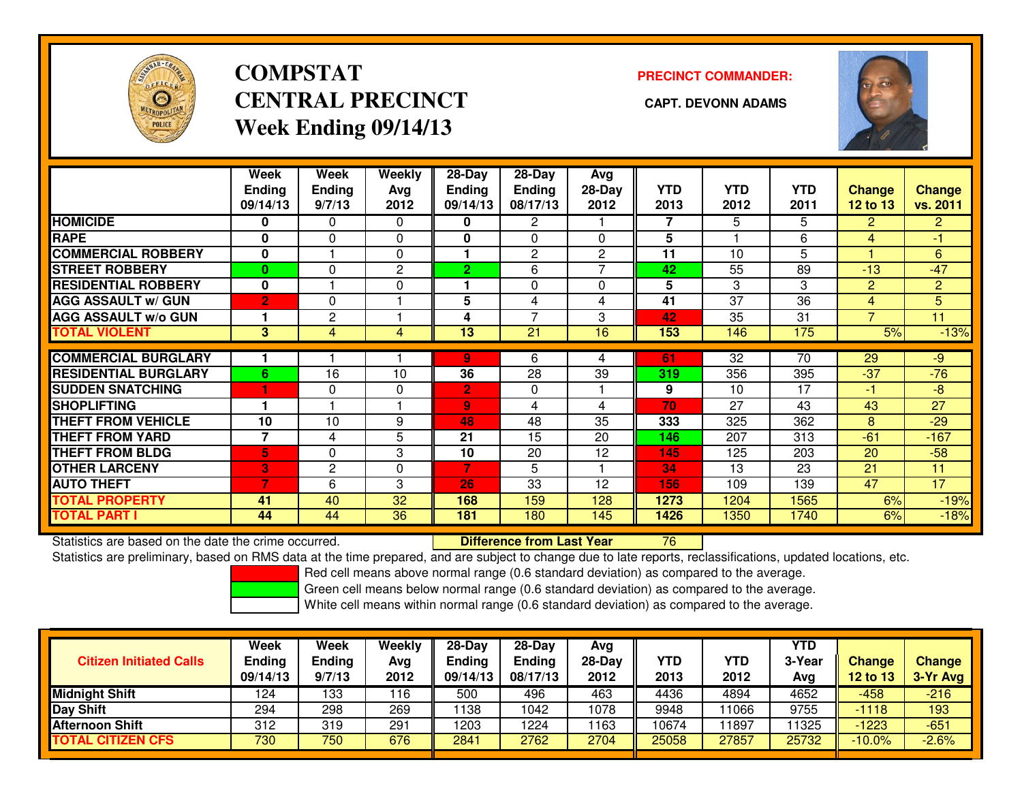

## **COMPSTATCENTRAL PRECINCT CAPT. DEVONN ADAMSWeek Ending 09/14/13**

### **PRECINCT COMMANDER:**



|                             | Week<br><b>Ending</b><br>09/14/13 | Week<br><b>Ending</b><br>9/7/13 | <b>Weekly</b><br>Avg<br>2012 | 28-Day<br><b>Ending</b><br>09/14/13 | $28$ -Day<br><b>Ending</b><br>08/17/13 | Avg<br>$28-Day$<br>2012 | <b>YTD</b><br>2013 | <b>YTD</b><br>2012 | <b>YTD</b><br>2011 | Change<br><b>12 to 13</b> | <b>Change</b><br>vs. 2011 |
|-----------------------------|-----------------------------------|---------------------------------|------------------------------|-------------------------------------|----------------------------------------|-------------------------|--------------------|--------------------|--------------------|---------------------------|---------------------------|
| <b>HOMICIDE</b>             | 0                                 | $\Omega$                        | $\Omega$                     | 0                                   | $\overline{2}$                         |                         | 7                  | 5                  | 5                  | $\overline{2}$            | $\overline{2}$            |
| <b>RAPE</b>                 | $\bf{0}$                          | $\Omega$                        | $\Omega$                     | 0                                   | $\Omega$                               | 0                       | 5                  |                    | 6                  | 4                         | $-1$                      |
| <b>COMMERCIAL ROBBERY</b>   | 0                                 |                                 | $\Omega$                     |                                     | 2                                      | $\overline{2}$          | 11                 | 10                 | 5                  |                           | 6                         |
| <b>STREET ROBBERY</b>       | $\bf{0}$                          | 0                               | 2                            | 2                                   | 6                                      |                         | 42                 | 55                 | 89                 | $-13$                     | $-47$                     |
| <b>RESIDENTIAL ROBBERY</b>  | $\bf{0}$                          |                                 | $\Omega$                     |                                     | $\Omega$                               | $\Omega$                | 5                  | 3                  | 3                  | 2                         | $\overline{2}$            |
| <b>AGG ASSAULT w/ GUN</b>   | $\overline{2}$                    | $\Omega$                        |                              | 5                                   | 4                                      | 4                       | 41                 | 37                 | 36                 | 4                         | 5                         |
| <b>AGG ASSAULT w/o GUN</b>  |                                   | $\overline{c}$                  |                              | 4                                   | $\overline{7}$                         | 3                       | 42                 | 35                 | 31                 | $\overline{7}$            | 11                        |
| <b>TOTAL VIOLENT</b>        | 3                                 | 4                               | 4                            | 13                                  | $\overline{21}$                        | 16                      | 153                | 146                | 175                | 5%                        | $-13%$                    |
|                             |                                   |                                 |                              |                                     |                                        |                         |                    |                    |                    |                           |                           |
| <b>COMMERCIAL BURGLARY</b>  |                                   |                                 |                              | 9                                   | 6                                      | 4                       | 61                 | 32                 | 70                 | 29                        | $-9$                      |
| <b>RESIDENTIAL BURGLARY</b> | 6                                 | 16                              | 10                           | 36                                  | 28                                     | 39                      | 319                | 356                | 395                | $-37$                     | $-76$                     |
| <b>SUDDEN SNATCHING</b>     |                                   | $\Omega$                        | $\Omega$                     | $\overline{2}$                      | $\Omega$                               |                         | 9                  | 10                 | 17                 | -1                        | $-8$                      |
| <b>SHOPLIFTING</b>          |                                   |                                 |                              | $\overline{9}$                      | 4                                      | 4                       | 70                 | 27                 | 43                 | 43                        | 27                        |
| <b>THEFT FROM VEHICLE</b>   | 10                                | 10                              | 9                            | 48                                  | 48                                     | 35                      | 333                | 325                | 362                | 8                         | $-29$                     |
| <b>THEFT FROM YARD</b>      | $\overline{\phantom{a}}$          | 4                               | 5                            | 21                                  | 15                                     | 20                      | 146                | 207                | 313                | $-61$                     | $-167$                    |
| <b>THEFT FROM BLDG</b>      | 5                                 | $\Omega$                        | 3                            | 10                                  | 20                                     | 12                      | 145                | 125                | 203                | 20                        | $-58$                     |
| <b>OTHER LARCENY</b>        | 3                                 | $\overline{2}$                  | $\Omega$                     | 7                                   | 5                                      |                         | 34                 | 13                 | 23                 | 21                        | 11                        |
| <b>AUTO THEFT</b>           | $\mathbf{7}$                      | 6                               | 3                            | 26                                  | 33                                     | 12                      | 156                | 109                | 139                | 47                        | 17                        |
| <b>TOTAL PROPERTY</b>       | 41                                | 40                              | 32                           | 168                                 | 159                                    | 128                     | 1273               | 1204               | 1565               | 6%                        | $-19%$                    |
| <b>TOTAL PART I</b>         | 44                                | 44                              | 36                           | 181                                 | 180                                    | 145                     | 1426               | 1350               | 1740               | 6%                        | $-18%$                    |

Statistics are based on the date the crime occurred. **Difference from Last Year** 

Statistics are preliminary, based on RMS data at the time prepared, and are subject to change due to late reports, reclassifications, updated locations, etc.

Red cell means above normal range (0.6 standard deviation) as compared to the average.

Green cell means below normal range (0.6 standard deviation) as compared to the average.

<sup>76</sup>

| <b>Citizen Initiated Calls</b> | Week<br>Ending<br>09/14/13 | Week<br>Ending<br>9/7/13 | <b>Weekly</b><br>Avg<br>2012 | $28-Day$<br><b>Ending</b><br>09/14/13 | $28 - Day$<br><b>Ending</b><br>08/17/13 | Avg<br>28-Day<br>2012 | YTD<br>2013 | YTD<br>2012 | <b>YTD</b><br>3-Year<br>Avg | <b>Change</b><br><b>12 to 13</b> | <b>Change</b><br>3-Yr Avg |
|--------------------------------|----------------------------|--------------------------|------------------------------|---------------------------------------|-----------------------------------------|-----------------------|-------------|-------------|-----------------------------|----------------------------------|---------------------------|
| <b>Midnight Shift</b>          | 124                        | 133                      | 16                           | 500                                   | 496                                     | 463                   | 4436        | 4894        | 4652                        | $-458$                           | $-216$                    |
| Day Shift                      | 294                        | 298                      | 269                          | 1138                                  | 1042                                    | 1078                  | 9948        | 11066       | 9755                        | $-1118$                          | 193                       |
| <b>Afternoon Shift</b>         | 312                        | 319                      | 291                          | 1203                                  | 1224                                    | 1163                  | 10674       | 1897        | 1325                        | $-1223$                          | $-651$                    |
| <b>TOTAL CITIZEN CFS</b>       | 730                        | 750                      | 676                          | 2841                                  | 2762                                    | 2704                  | 25058       | 27857       | 25732                       | $-10.0\%$                        | $-2.6%$                   |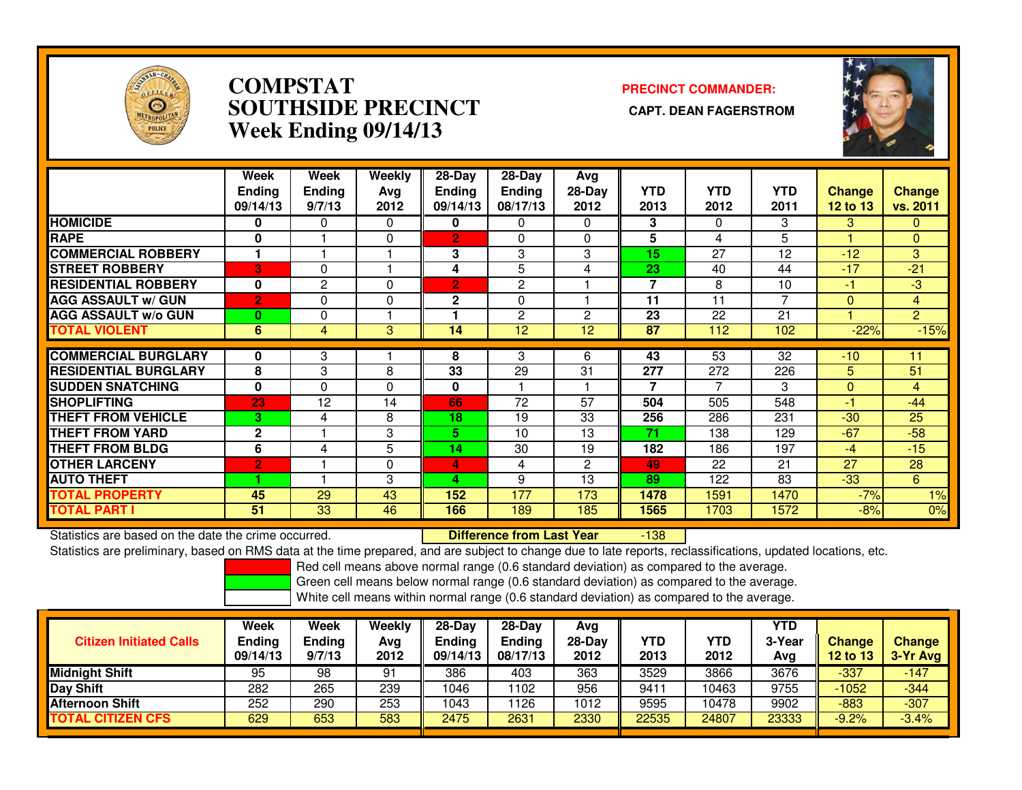

### **COMPSTAT PRECINCT COMMANDER: SOUTHSIDE PRECINCT CAPT. DEAN FAGERSTROMWeek Ending 09/14/13**



|                             | Week<br><b>Ending</b><br>09/14/13 | Week<br><b>Ending</b><br>9/7/13 | Weekly<br>Avg<br>2012 | $28-Day$<br><b>Ending</b><br>09/14/13 | $28-Day$<br><b>Ending</b><br>08/17/13 | Avg<br>$28-Day$<br>2012 | <b>YTD</b><br>2013 | <b>YTD</b><br>2012 | <b>YTD</b><br>2011 | <b>Change</b><br>12 to 13 | Change<br>vs. 2011 |
|-----------------------------|-----------------------------------|---------------------------------|-----------------------|---------------------------------------|---------------------------------------|-------------------------|--------------------|--------------------|--------------------|---------------------------|--------------------|
| <b>HOMICIDE</b>             | 0                                 | 0                               | $\Omega$              | 0                                     | 0                                     | $\Omega$                | 3                  | <sup>0</sup>       | 3                  | 3                         | $\mathbf{0}$       |
| <b>RAPE</b>                 | 0                                 |                                 | 0                     | $\overline{2}$                        | 0                                     | $\Omega$                | 5                  | 4                  | 5                  |                           | $\Omega$           |
| <b>COMMERCIAL ROBBERY</b>   | 1                                 |                                 |                       | 3                                     | 3                                     | 3                       | 15                 | 27                 | 12                 | $-12$                     | 3                  |
| <b>STREET ROBBERY</b>       | 3                                 | 0                               |                       | 4                                     | 5                                     | 4                       | 23                 | 40                 | 44                 | $-17$                     | $-21$              |
| <b>RESIDENTIAL ROBBERY</b>  | 0                                 | 2                               | $\Omega$              | $\overline{2}$                        | 2                                     |                         | 7                  | 8                  | 10                 | -1                        | $-3$               |
| <b>AGG ASSAULT w/ GUN</b>   | $\overline{2}$                    | 0                               | $\Omega$              | $\mathbf{2}$                          | 0                                     |                         | 11                 | 11                 | 7                  | $\mathbf{0}$              | 4                  |
| <b>AGG ASSAULT w/o GUN</b>  | 0                                 | 0                               |                       |                                       | $\overline{2}$                        | 2                       | 23                 | 22                 | 21                 |                           | $\overline{2}$     |
| <b>TOTAL VIOLENT</b>        | 6                                 | 4                               | 3                     | 14                                    | 12                                    | 12                      | 87                 | 112                | 102                | $-22%$                    | $-15%$             |
|                             |                                   |                                 |                       |                                       |                                       |                         |                    |                    |                    |                           |                    |
| <b>COMMERCIAL BURGLARY</b>  | 0                                 | 3                               |                       | 8                                     | 3                                     | 6                       | 43                 | 53                 | 32                 | $-10$                     | 11                 |
| <b>RESIDENTIAL BURGLARY</b> | 8                                 | 3                               | 8                     | 33                                    | 29                                    | 31                      | 277                | 272                | 226                | 5.                        | 51                 |
| <b>SUDDEN SNATCHING</b>     | 0                                 | 0                               | $\Omega$              | 0                                     |                                       |                         | 7                  | 7                  | 3                  | $\Omega$                  | $\overline{4}$     |
| <b>SHOPLIFTING</b>          | 23                                | 12                              | 14                    | 66                                    | 72                                    | 57                      | 504                | 505                | 548                | -1                        | $-44$              |
| <b>THEFT FROM VEHICLE</b>   | 3                                 | 4                               | 8                     | 18                                    | 19                                    | 33                      | 256                | 286                | 231                | $-30$                     | 25                 |
| <b>THEFT FROM YARD</b>      | $\mathbf{2}$                      |                                 | 3                     | 5.                                    | 10                                    | 13                      | 71                 | 138                | 129                | $-67$                     | $-58$              |
| <b>THEFT FROM BLDG</b>      | 6                                 | 4                               | 5                     | 14                                    | 30                                    | 19                      | 182                | 186                | 197                | -4                        | $-15$              |
| <b>OTHER LARCENY</b>        | $\overline{2}$                    |                                 | $\Omega$              | 4                                     | 4                                     | $\overline{2}$          | 49                 | 22                 | 21                 | 27                        | 28                 |
| <b>AUTO THEFT</b>           |                                   |                                 | 3                     | 4                                     | 9                                     | 13                      | 89                 | 122                | 83                 | $-33$                     | 6                  |
| <b>TOTAL PROPERTY</b>       | 45                                | 29                              | 43                    | 152                                   | 177                                   | 173                     | 1478               | 1591               | 1470               | $-7%$                     | 1%                 |
| <b>TOTAL PART I</b>         | 51                                | 33                              | 46                    | 166                                   | 189                                   | 185                     | 1565               | 1703               | 1572               | $-8%$                     | 0%                 |

Statistics are based on the date the crime occurred. **Difference from Last Year**  -138Statistics are preliminary, based on RMS data at the time prepared, and are subject to change due to late reports, reclassifications, updated locations, etc.

Red cell means above normal range (0.6 standard deviation) as compared to the average.

Green cell means below normal range (0.6 standard deviation) as compared to the average.

| <b>Citizen Initiated Calls</b> | Week<br><b>Ending</b><br>09/14/13 | Week<br>Ending<br>9/7/13 | Weekly<br>Avg<br>2012 | 28-Dav<br>Ending<br>09/14/13 | $28-Dav$<br><b>Ending</b><br>08/17/13 | Avg<br>$28-Day$<br>2012 | <b>YTD</b><br>2013 | YTD<br>2012 | <b>YTD</b><br>3-Year<br>Avg | <b>Change</b><br>12 to 13 | <b>Change</b><br>3-Yr Avg |
|--------------------------------|-----------------------------------|--------------------------|-----------------------|------------------------------|---------------------------------------|-------------------------|--------------------|-------------|-----------------------------|---------------------------|---------------------------|
| <b>Midnight Shift</b>          | 95                                | 98                       | 91                    | 386                          | 403                                   | 363                     | 3529               | 3866        | 3676                        | $-337$                    | $-147$                    |
| Day Shift                      | 282                               | 265                      | 239                   | 1046                         | 102                                   | 956                     | 9411               | 10463       | 9755                        | $-1052$                   | $-344$                    |
| <b>Afternoon Shift</b>         | 252                               | 290                      | 253                   | 1043                         | 126                                   | 1012                    | 9595               | 10478       | 9902                        | -883                      | $-307$                    |
| <b>CITIZEN CFS</b><br>ΤΟΤΑL    | 629                               | 653                      | 583                   | 2475                         | 2631                                  | 2330                    | 22535              | 24807       | 23333                       | $-9.2%$                   | $-3.4%$                   |